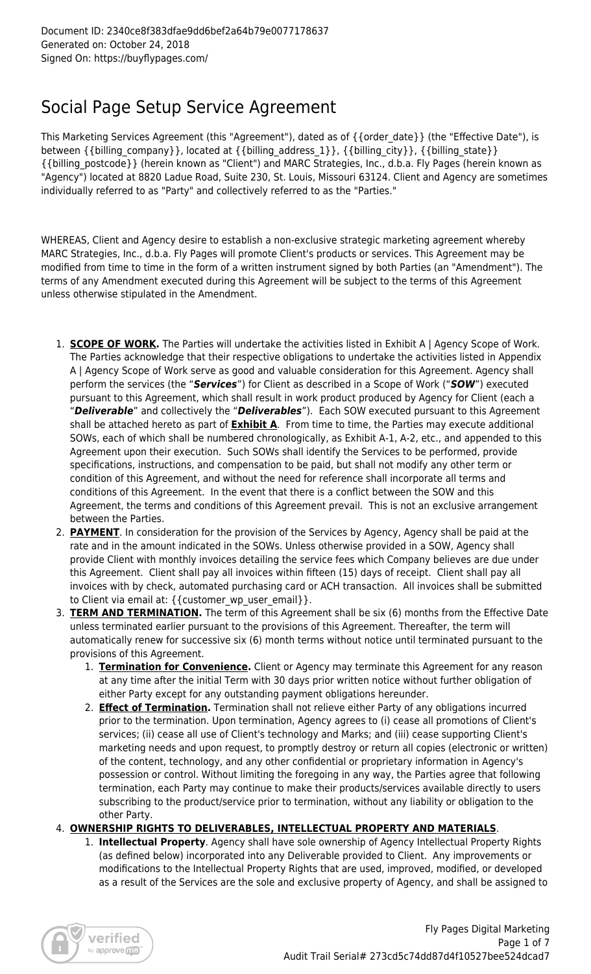# Social Page Setup Service Agreement

This Marketing Services Agreement (this "Agreement"), dated as of {{order\_date}} (the "Effective Date"), is between {{billing\_company}}, located at {{billing\_address\_1}}, {{billing\_city}}, {{billing\_state}} {{billing\_postcode}} (herein known as "Client") and MARC Strategies, Inc., d.b.a. Fly Pages (herein known as "Agency") located at 8820 Ladue Road, Suite 230, St. Louis, Missouri 63124. Client and Agency are sometimes individually referred to as "Party" and collectively referred to as the "Parties."

WHEREAS, Client and Agency desire to establish a non-exclusive strategic marketing agreement whereby MARC Strategies, Inc., d.b.a. Fly Pages will promote Client's products or services. This Agreement may be modified from time to time in the form of a written instrument signed by both Parties (an "Amendment"). The terms of any Amendment executed during this Agreement will be subject to the terms of this Agreement unless otherwise stipulated in the Amendment.

- 1. **SCOPE OF WORK.** The Parties will undertake the activities listed in Exhibit A | Agency Scope of Work. The Parties acknowledge that their respective obligations to undertake the activities listed in Appendix A | Agency Scope of Work serve as good and valuable consideration for this Agreement. Agency shall perform the services (the "*Services*") for Client as described in a Scope of Work ("*SOW*") executed pursuant to this Agreement, which shall result in work product produced by Agency for Client (each a "*Deliverable*" and collectively the "*Deliverables*"). Each SOW executed pursuant to this Agreement shall be attached hereto as part of **Exhibit A**. From time to time, the Parties may execute additional SOWs, each of which shall be numbered chronologically, as Exhibit A-1, A-2, etc., and appended to this Agreement upon their execution. Such SOWs shall identify the Services to be performed, provide specifications, instructions, and compensation to be paid, but shall not modify any other term or condition of this Agreement, and without the need for reference shall incorporate all terms and conditions of this Agreement. In the event that there is a conflict between the SOW and this Agreement, the terms and conditions of this Agreement prevail. This is not an exclusive arrangement between the Parties.
- 2. **PAYMENT**. In consideration for the provision of the Services by Agency, Agency shall be paid at the rate and in the amount indicated in the SOWs. Unless otherwise provided in a SOW, Agency shall provide Client with monthly invoices detailing the service fees which Company believes are due under this Agreement. Client shall pay all invoices within fifteen (15) days of receipt. Client shall pay all invoices with by check, automated purchasing card or ACH transaction. All invoices shall be submitted to Client via email at: {{customer\_wp\_user\_email}}.
- 3. **TERM AND TERMINATION.** The term of this Agreement shall be six (6) months from the Effective Date unless terminated earlier pursuant to the provisions of this Agreement. Thereafter, the term will automatically renew for successive six (6) month terms without notice until terminated pursuant to the provisions of this Agreement.
	- 1. **Termination for Convenience.** Client or Agency may terminate this Agreement for any reason at any time after the initial Term with 30 days prior written notice without further obligation of either Party except for any outstanding payment obligations hereunder.
	- 2. **Effect of Termination.** Termination shall not relieve either Party of any obligations incurred prior to the termination. Upon termination, Agency agrees to (i) cease all promotions of Client's services; (ii) cease all use of Client's technology and Marks; and (iii) cease supporting Client's marketing needs and upon request, to promptly destroy or return all copies (electronic or written) of the content, technology, and any other confidential or proprietary information in Agency's possession or control. Without limiting the foregoing in any way, the Parties agree that following termination, each Party may continue to make their products/services available directly to users subscribing to the product/service prior to termination, without any liability or obligation to the other Party.
- 4. **OWNERSHIP RIGHTS TO DELIVERABLES, INTELLECTUAL PROPERTY AND MATERIALS**.
	- 1. **Intellectual Property**. Agency shall have sole ownership of Agency Intellectual Property Rights (as defined below) incorporated into any Deliverable provided to Client. Any improvements or modifications to the Intellectual Property Rights that are used, improved, modified, or developed as a result of the Services are the sole and exclusive property of Agency, and shall be assigned to

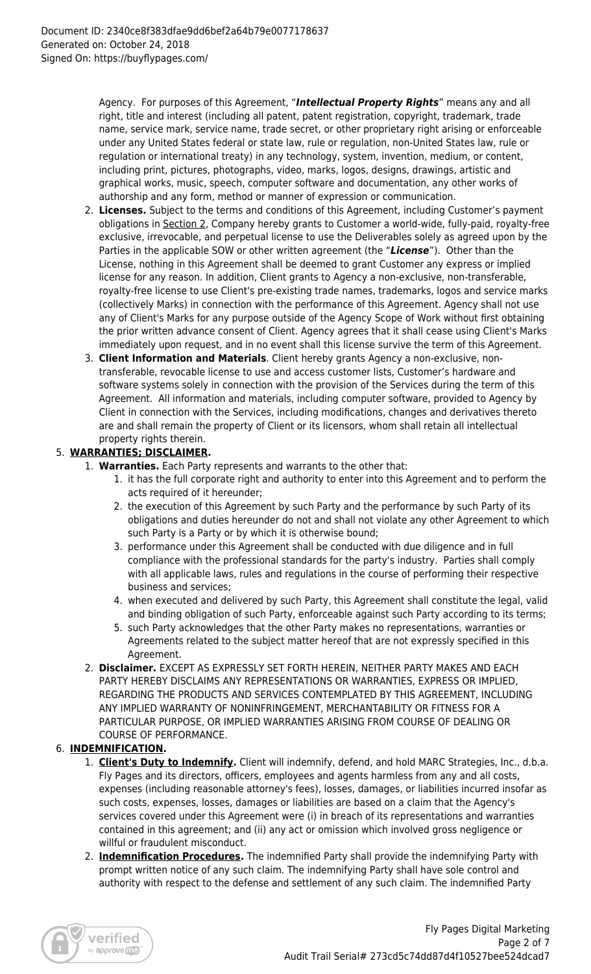Agency. For purposes of this Agreement, "*Intellectual Property Rights*" means any and all right, title and interest (including all patent, patent registration, copyright, trademark, trade name, service mark, service name, trade secret, or other proprietary right arising or enforceable under any United States federal or state law, rule or regulation, non-United States law, rule or regulation or international treaty) in any technology, system, invention, medium, or content, including print, pictures, photographs, video, marks, logos, designs, drawings, artistic and graphical works, music, speech, computer software and documentation, any other works of authorship and any form, method or manner of expression or communication.

- 2. **Licenses.** Subject to the terms and conditions of this Agreement, including Customer's payment obligations in Section 2, Company hereby grants to Customer a world-wide, fully-paid, royalty-free exclusive, irrevocable, and perpetual license to use the Deliverables solely as agreed upon by the Parties in the applicable SOW or other written agreement (the "*License*"). Other than the License, nothing in this Agreement shall be deemed to grant Customer any express or implied license for any reason. In addition, Client grants to Agency a non-exclusive, non-transferable, royalty-free license to use Client's pre-existing trade names, trademarks, logos and service marks (collectively Marks) in connection with the performance of this Agreement. Agency shall not use any of Client's Marks for any purpose outside of the Agency Scope of Work without first obtaining the prior written advance consent of Client. Agency agrees that it shall cease using Client's Marks immediately upon request, and in no event shall this license survive the term of this Agreement.
- 3. **Client Information and Materials**. Client hereby grants Agency a non-exclusive, nontransferable, revocable license to use and access customer lists, Customer's hardware and software systems solely in connection with the provision of the Services during the term of this Agreement. All information and materials, including computer software, provided to Agency by Client in connection with the Services, including modifications, changes and derivatives thereto are and shall remain the property of Client or its licensors, whom shall retain all intellectual property rights therein.

# 5. **WARRANTIES; DISCLAIMER.**

- 1. **Warranties.** Each Party represents and warrants to the other that:
	- 1. it has the full corporate right and authority to enter into this Agreement and to perform the acts required of it hereunder;
	- 2. the execution of this Agreement by such Party and the performance by such Party of its obligations and duties hereunder do not and shall not violate any other Agreement to which such Party is a Party or by which it is otherwise bound;
	- 3. performance under this Agreement shall be conducted with due diligence and in full compliance with the professional standards for the party's industry. Parties shall comply with all applicable laws, rules and regulations in the course of performing their respective business and services;
	- 4. when executed and delivered by such Party, this Agreement shall constitute the legal, valid and binding obligation of such Party, enforceable against such Party according to its terms;
	- 5. such Party acknowledges that the other Party makes no representations, warranties or Agreements related to the subject matter hereof that are not expressly specified in this Agreement.
- 2. **Disclaimer.** EXCEPT AS EXPRESSLY SET FORTH HEREIN, NEITHER PARTY MAKES AND EACH PARTY HEREBY DISCLAIMS ANY REPRESENTATIONS OR WARRANTIES, EXPRESS OR IMPLIED, REGARDING THE PRODUCTS AND SERVICES CONTEMPLATED BY THIS AGREEMENT, INCLUDING ANY IMPLIED WARRANTY OF NONINFRINGEMENT, MERCHANTABILITY OR FITNESS FOR A PARTICULAR PURPOSE, OR IMPLIED WARRANTIES ARISING FROM COURSE OF DEALING OR COURSE OF PERFORMANCE.

# 6. **INDEMNIFICATION.**

- 1. **Client's Duty to Indemnify.** Client will indemnify, defend, and hold MARC Strategies, Inc., d.b.a. Fly Pages and its directors, officers, employees and agents harmless from any and all costs, expenses (including reasonable attorney's fees), losses, damages, or liabilities incurred insofar as such costs, expenses, losses, damages or liabilities are based on a claim that the Agency's services covered under this Agreement were (i) in breach of its representations and warranties contained in this agreement; and (ii) any act or omission which involved gross negligence or willful or fraudulent misconduct.
- 2. **Indemnification Procedures.** The indemnified Party shall provide the indemnifying Party with prompt written notice of any such claim. The indemnifying Party shall have sole control and authority with respect to the defense and settlement of any such claim. The indemnified Party

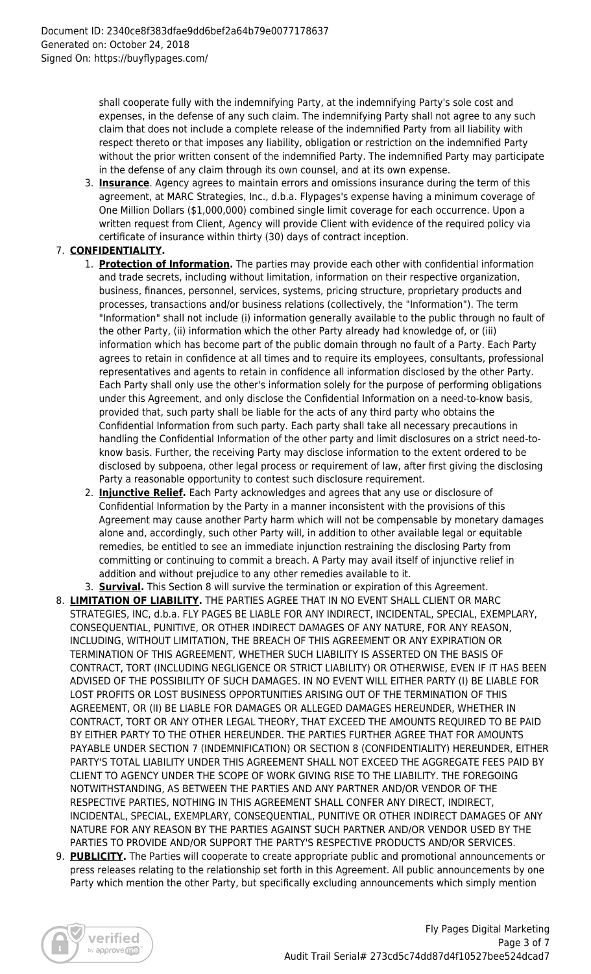shall cooperate fully with the indemnifying Party, at the indemnifying Party's sole cost and expenses, in the defense of any such claim. The indemnifying Party shall not agree to any such claim that does not include a complete release of the indemnified Party from all liability with respect thereto or that imposes any liability, obligation or restriction on the indemnified Party without the prior written consent of the indemnified Party. The indemnified Party may participate in the defense of any claim through its own counsel, and at its own expense.

3. **Insurance**. Agency agrees to maintain errors and omissions insurance during the term of this agreement, at MARC Strategies, Inc., d.b.a. Flypages's expense having a minimum coverage of One Million Dollars (\$1,000,000) combined single limit coverage for each occurrence. Upon a written request from Client, Agency will provide Client with evidence of the required policy via certificate of insurance within thirty (30) days of contract inception.

# 7. **CONFIDENTIALITY.**

- 1. **Protection of Information.** The parties may provide each other with confidential information and trade secrets, including without limitation, information on their respective organization, business, finances, personnel, services, systems, pricing structure, proprietary products and processes, transactions and/or business relations (collectively, the "Information"). The term "Information" shall not include (i) information generally available to the public through no fault of the other Party, (ii) information which the other Party already had knowledge of, or (iii) information which has become part of the public domain through no fault of a Party. Each Party agrees to retain in confidence at all times and to require its employees, consultants, professional representatives and agents to retain in confidence all information disclosed by the other Party. Each Party shall only use the other's information solely for the purpose of performing obligations under this Agreement, and only disclose the Confidential Information on a need-to-know basis, provided that, such party shall be liable for the acts of any third party who obtains the Confidential Information from such party. Each party shall take all necessary precautions in handling the Confidential Information of the other party and limit disclosures on a strict need-toknow basis. Further, the receiving Party may disclose information to the extent ordered to be disclosed by subpoena, other legal process or requirement of law, after first giving the disclosing Party a reasonable opportunity to contest such disclosure requirement.
- 2. **Injunctive Relief.** Each Party acknowledges and agrees that any use or disclosure of Confidential Information by the Party in a manner inconsistent with the provisions of this Agreement may cause another Party harm which will not be compensable by monetary damages alone and, accordingly, such other Party will, in addition to other available legal or equitable remedies, be entitled to see an immediate injunction restraining the disclosing Party from committing or continuing to commit a breach. A Party may avail itself of injunctive relief in addition and without prejudice to any other remedies available to it.
- 3. **Survival.** This Section 8 will survive the termination or expiration of this Agreement.
- 8. **LIMITATION OF LIABILITY.** THE PARTIES AGREE THAT IN NO EVENT SHALL CLIENT OR MARC STRATEGIES, INC, d.b.a. FLY PAGES BE LIABLE FOR ANY INDIRECT, INCIDENTAL, SPECIAL, EXEMPLARY, CONSEQUENTIAL, PUNITIVE, OR OTHER INDIRECT DAMAGES OF ANY NATURE, FOR ANY REASON, INCLUDING, WITHOUT LIMITATION, THE BREACH OF THIS AGREEMENT OR ANY EXPIRATION OR TERMINATION OF THIS AGREEMENT, WHETHER SUCH LIABILITY IS ASSERTED ON THE BASIS OF CONTRACT, TORT (INCLUDING NEGLIGENCE OR STRICT LIABILITY) OR OTHERWISE, EVEN IF IT HAS BEEN ADVISED OF THE POSSIBILITY OF SUCH DAMAGES. IN NO EVENT WILL EITHER PARTY (I) BE LIABLE FOR LOST PROFITS OR LOST BUSINESS OPPORTUNITIES ARISING OUT OF THE TERMINATION OF THIS AGREEMENT, OR (II) BE LIABLE FOR DAMAGES OR ALLEGED DAMAGES HEREUNDER, WHETHER IN CONTRACT, TORT OR ANY OTHER LEGAL THEORY, THAT EXCEED THE AMOUNTS REQUIRED TO BE PAID BY EITHER PARTY TO THE OTHER HEREUNDER. THE PARTIES FURTHER AGREE THAT FOR AMOUNTS PAYABLE UNDER SECTION 7 (INDEMNIFICATION) OR SECTION 8 (CONFIDENTIALITY) HEREUNDER, EITHER PARTY'S TOTAL LIABILITY UNDER THIS AGREEMENT SHALL NOT EXCEED THE AGGREGATE FEES PAID BY CLIENT TO AGENCY UNDER THE SCOPE OF WORK GIVING RISE TO THE LIABILITY. THE FOREGOING NOTWITHSTANDING, AS BETWEEN THE PARTIES AND ANY PARTNER AND/OR VENDOR OF THE RESPECTIVE PARTIES, NOTHING IN THIS AGREEMENT SHALL CONFER ANY DIRECT, INDIRECT, INCIDENTAL, SPECIAL, EXEMPLARY, CONSEQUENTIAL, PUNITIVE OR OTHER INDIRECT DAMAGES OF ANY NATURE FOR ANY REASON BY THE PARTIES AGAINST SUCH PARTNER AND/OR VENDOR USED BY THE PARTIES TO PROVIDE AND/OR SUPPORT THE PARTY'S RESPECTIVE PRODUCTS AND/OR SERVICES.
- 9. **PUBLICITY.** The Parties will cooperate to create appropriate public and promotional announcements or press releases relating to the relationship set forth in this Agreement. All public announcements by one Party which mention the other Party, but specifically excluding announcements which simply mention

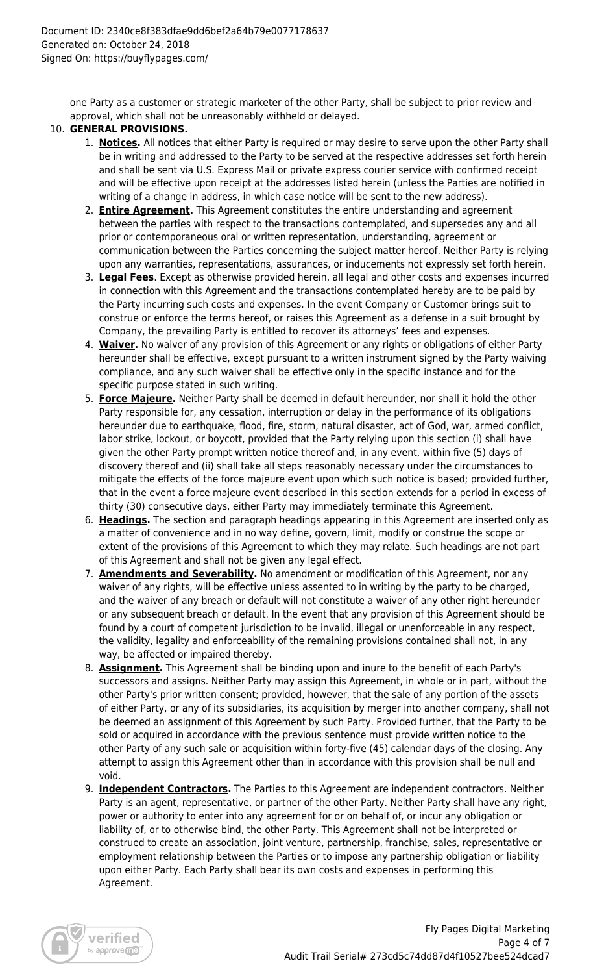one Party as a customer or strategic marketer of the other Party, shall be subject to prior review and approval, which shall not be unreasonably withheld or delayed.

#### 10. **GENERAL PROVISIONS.**

- 1. **Notices.** All notices that either Party is required or may desire to serve upon the other Party shall be in writing and addressed to the Party to be served at the respective addresses set forth herein and shall be sent via U.S. Express Mail or private express courier service with confirmed receipt and will be effective upon receipt at the addresses listed herein (unless the Parties are notified in writing of a change in address, in which case notice will be sent to the new address).
- 2. **Entire Agreement.** This Agreement constitutes the entire understanding and agreement between the parties with respect to the transactions contemplated, and supersedes any and all prior or contemporaneous oral or written representation, understanding, agreement or communication between the Parties concerning the subject matter hereof. Neither Party is relying upon any warranties, representations, assurances, or inducements not expressly set forth herein.
- 3. **Legal Fees**. Except as otherwise provided herein, all legal and other costs and expenses incurred in connection with this Agreement and the transactions contemplated hereby are to be paid by the Party incurring such costs and expenses. In the event Company or Customer brings suit to construe or enforce the terms hereof, or raises this Agreement as a defense in a suit brought by Company, the prevailing Party is entitled to recover its attorneys' fees and expenses.
- 4. **Waiver.** No waiver of any provision of this Agreement or any rights or obligations of either Party hereunder shall be effective, except pursuant to a written instrument signed by the Party waiving compliance, and any such waiver shall be effective only in the specific instance and for the specific purpose stated in such writing.
- 5. **Force Majeure.** Neither Party shall be deemed in default hereunder, nor shall it hold the other Party responsible for, any cessation, interruption or delay in the performance of its obligations hereunder due to earthquake, flood, fire, storm, natural disaster, act of God, war, armed conflict, labor strike, lockout, or boycott, provided that the Party relying upon this section (i) shall have given the other Party prompt written notice thereof and, in any event, within five (5) days of discovery thereof and (ii) shall take all steps reasonably necessary under the circumstances to mitigate the effects of the force majeure event upon which such notice is based; provided further, that in the event a force majeure event described in this section extends for a period in excess of thirty (30) consecutive days, either Party may immediately terminate this Agreement.
- 6. **Headings.** The section and paragraph headings appearing in this Agreement are inserted only as a matter of convenience and in no way define, govern, limit, modify or construe the scope or extent of the provisions of this Agreement to which they may relate. Such headings are not part of this Agreement and shall not be given any legal effect.
- 7. **Amendments and Severability.** No amendment or modification of this Agreement, nor any waiver of any rights, will be effective unless assented to in writing by the party to be charged, and the waiver of any breach or default will not constitute a waiver of any other right hereunder or any subsequent breach or default. In the event that any provision of this Agreement should be found by a court of competent jurisdiction to be invalid, illegal or unenforceable in any respect, the validity, legality and enforceability of the remaining provisions contained shall not, in any way, be affected or impaired thereby.
- 8. **Assignment.** This Agreement shall be binding upon and inure to the benefit of each Party's successors and assigns. Neither Party may assign this Agreement, in whole or in part, without the other Party's prior written consent; provided, however, that the sale of any portion of the assets of either Party, or any of its subsidiaries, its acquisition by merger into another company, shall not be deemed an assignment of this Agreement by such Party. Provided further, that the Party to be sold or acquired in accordance with the previous sentence must provide written notice to the other Party of any such sale or acquisition within forty-five (45) calendar days of the closing. Any attempt to assign this Agreement other than in accordance with this provision shall be null and void.
- 9. **Independent Contractors.** The Parties to this Agreement are independent contractors. Neither Party is an agent, representative, or partner of the other Party. Neither Party shall have any right, power or authority to enter into any agreement for or on behalf of, or incur any obligation or liability of, or to otherwise bind, the other Party. This Agreement shall not be interpreted or construed to create an association, joint venture, partnership, franchise, sales, representative or employment relationship between the Parties or to impose any partnership obligation or liability upon either Party. Each Party shall bear its own costs and expenses in performing this Agreement.

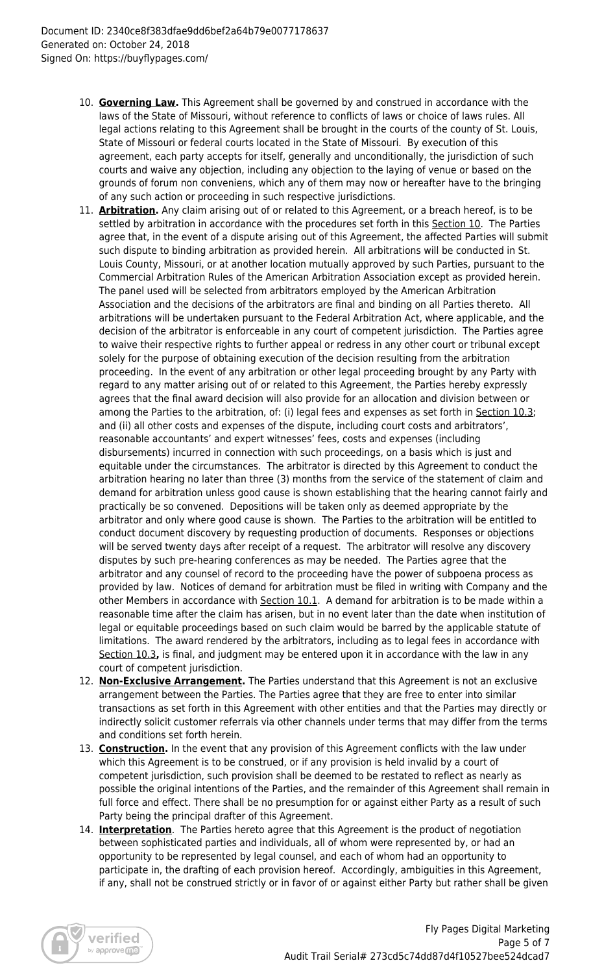- 10. **Governing Law.** This Agreement shall be governed by and construed in accordance with the laws of the State of Missouri, without reference to conflicts of laws or choice of laws rules. All legal actions relating to this Agreement shall be brought in the courts of the county of St. Louis, State of Missouri or federal courts located in the State of Missouri. By execution of this agreement, each party accepts for itself, generally and unconditionally, the jurisdiction of such courts and waive any objection, including any objection to the laying of venue or based on the grounds of forum non conveniens, which any of them may now or hereafter have to the bringing of any such action or proceeding in such respective jurisdictions.
- 11. **Arbitration.** Any claim arising out of or related to this Agreement, or a breach hereof, is to be settled by arbitration in accordance with the procedures set forth in this Section 10. The Parties agree that, in the event of a dispute arising out of this Agreement, the affected Parties will submit such dispute to binding arbitration as provided herein. All arbitrations will be conducted in St. Louis County, Missouri, or at another location mutually approved by such Parties, pursuant to the Commercial Arbitration Rules of the American Arbitration Association except as provided herein. The panel used will be selected from arbitrators employed by the American Arbitration Association and the decisions of the arbitrators are final and binding on all Parties thereto. All arbitrations will be undertaken pursuant to the Federal Arbitration Act, where applicable, and the decision of the arbitrator is enforceable in any court of competent jurisdiction. The Parties agree to waive their respective rights to further appeal or redress in any other court or tribunal except solely for the purpose of obtaining execution of the decision resulting from the arbitration proceeding. In the event of any arbitration or other legal proceeding brought by any Party with regard to any matter arising out of or related to this Agreement, the Parties hereby expressly agrees that the final award decision will also provide for an allocation and division between or among the Parties to the arbitration, of: (i) legal fees and expenses as set forth in Section 10.3; and (ii) all other costs and expenses of the dispute, including court costs and arbitrators', reasonable accountants' and expert witnesses' fees, costs and expenses (including disbursements) incurred in connection with such proceedings, on a basis which is just and equitable under the circumstances. The arbitrator is directed by this Agreement to conduct the arbitration hearing no later than three (3) months from the service of the statement of claim and demand for arbitration unless good cause is shown establishing that the hearing cannot fairly and practically be so convened. Depositions will be taken only as deemed appropriate by the arbitrator and only where good cause is shown. The Parties to the arbitration will be entitled to conduct document discovery by requesting production of documents. Responses or objections will be served twenty days after receipt of a request. The arbitrator will resolve any discovery disputes by such pre-hearing conferences as may be needed. The Parties agree that the arbitrator and any counsel of record to the proceeding have the power of subpoena process as provided by law. Notices of demand for arbitration must be filed in writing with Company and the other Members in accordance with Section 10.1. A demand for arbitration is to be made within a reasonable time after the claim has arisen, but in no event later than the date when institution of legal or equitable proceedings based on such claim would be barred by the applicable statute of limitations. The award rendered by the arbitrators, including as to legal fees in accordance with Section 10.3**,** is final, and judgment may be entered upon it in accordance with the law in any court of competent jurisdiction.
- 12. **Non-Exclusive Arrangement.** The Parties understand that this Agreement is not an exclusive arrangement between the Parties. The Parties agree that they are free to enter into similar transactions as set forth in this Agreement with other entities and that the Parties may directly or indirectly solicit customer referrals via other channels under terms that may differ from the terms and conditions set forth herein.
- 13. **Construction.** In the event that any provision of this Agreement conflicts with the law under which this Agreement is to be construed, or if any provision is held invalid by a court of competent jurisdiction, such provision shall be deemed to be restated to reflect as nearly as possible the original intentions of the Parties, and the remainder of this Agreement shall remain in full force and effect. There shall be no presumption for or against either Party as a result of such Party being the principal drafter of this Agreement.
- 14. **Interpretation**. The Parties hereto agree that this Agreement is the product of negotiation between sophisticated parties and individuals, all of whom were represented by, or had an opportunity to be represented by legal counsel, and each of whom had an opportunity to participate in, the drafting of each provision hereof. Accordingly, ambiguities in this Agreement, if any, shall not be construed strictly or in favor of or against either Party but rather shall be given

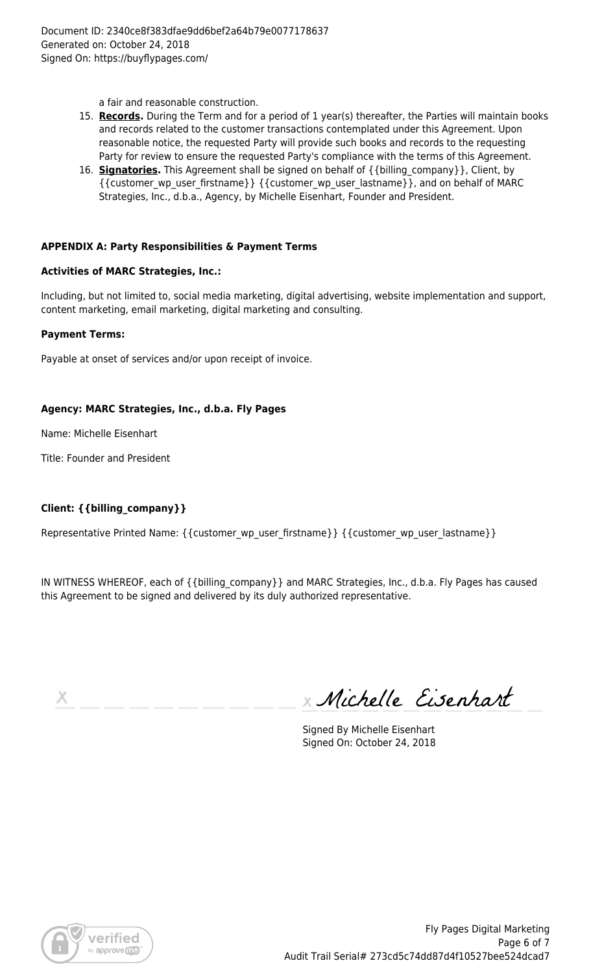a fair and reasonable construction.

- 15. **Records.** During the Term and for a period of 1 year(s) thereafter, the Parties will maintain books and records related to the customer transactions contemplated under this Agreement. Upon reasonable notice, the requested Party will provide such books and records to the requesting Party for review to ensure the requested Party's compliance with the terms of this Agreement.
- 16. **Signatories.** This Agreement shall be signed on behalf of {{billing\_company}}, Client, by {{customer\_wp\_user\_firstname}} {{customer\_wp\_user\_lastname}}, and on behalf of MARC Strategies, Inc., d.b.a., Agency, by Michelle Eisenhart, Founder and President.

#### **APPENDIX A: Party Responsibilities & Payment Terms**

#### **Activities of MARC Strategies, Inc.:**

Including, but not limited to, social media marketing, digital advertising, website implementation and support, content marketing, email marketing, digital marketing and consulting.

#### **Payment Terms:**

Payable at onset of services and/or upon receipt of invoice.

#### **Agency: MARC Strategies, Inc., d.b.a. Fly Pages**

Name: Michelle Eisenhart

Title: Founder and President

# **Client: {{billing\_company}}**

Representative Printed Name: { {customer\_wp\_user\_firstname} } { {customer\_wp\_user\_lastname } }

IN WITNESS WHEREOF, each of {{billing\_company}} and MARC Strategies, Inc., d.b.a. Fly Pages has caused this Agreement to be signed and delivered by its duly authorized representative.

х

Michelle Eisenhart

Signed By Michelle Eisenhart Signed On: October 24, 2018